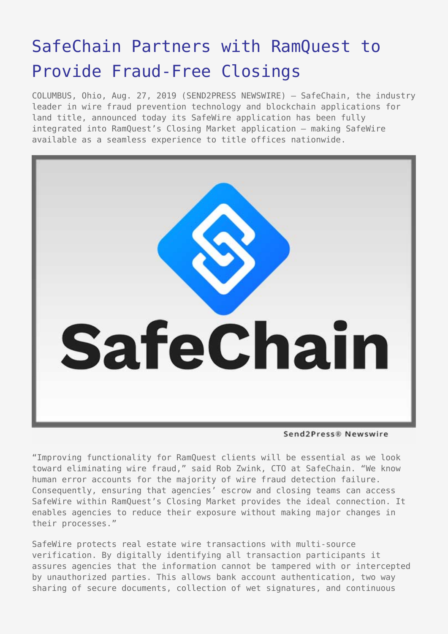## [SafeChain Partners with RamQuest to](https://www.send2press.com/wire/safechain-partners-with-ramquest-to-provide-fraud-free-closings/) [Provide Fraud-Free Closings](https://www.send2press.com/wire/safechain-partners-with-ramquest-to-provide-fraud-free-closings/)

COLUMBUS, Ohio, Aug. 27, 2019 (SEND2PRESS NEWSWIRE) — SafeChain, the industry leader in wire fraud prevention technology and blockchain applications for land title, announced today its SafeWire application has been fully integrated into RamQuest's Closing Market application – making SafeWire available as a seamless experience to title offices nationwide.



Send2Press® Newswire

"Improving functionality for RamQuest clients will be essential as we look toward eliminating wire fraud," said Rob Zwink, CTO at SafeChain. "We know human error accounts for the majority of wire fraud detection failure. Consequently, ensuring that agencies' escrow and closing teams can access SafeWire within RamQuest's Closing Market provides the ideal connection. It enables agencies to reduce their exposure without making major changes in their processes."

SafeWire protects real estate wire transactions with multi-source verification. By digitally identifying all transaction participants it assures agencies that the information cannot be tampered with or intercepted by unauthorized parties. This allows bank account authentication, two way sharing of secure documents, collection of wet signatures, and continuous